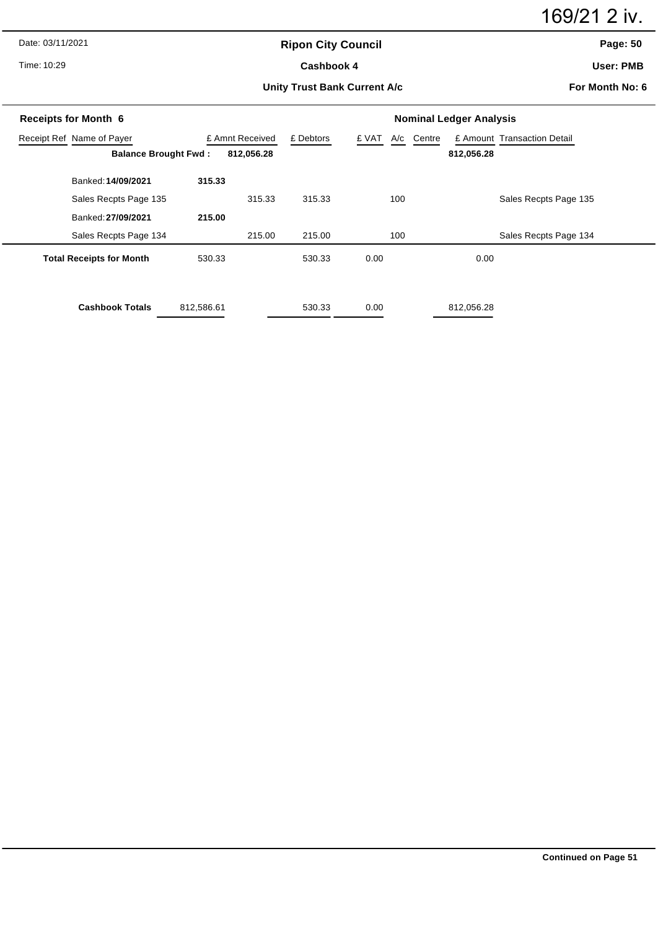169/21 2 iv.

Date: 03/11/2021

Time: 10:29

# **Ripon City Council** Cashbook 4

**Page: 50**

**User: PMB**

**Unity Trust Bank Current A/c**

**For Month No: 6**

| <b>Receipts for Month 6</b>     | <b>Nominal Ledger Analysis</b> |                 |           |       |            |                             |
|---------------------------------|--------------------------------|-----------------|-----------|-------|------------|-----------------------------|
| Receipt Ref Name of Payer       |                                | £ Amnt Received | £ Debtors | £ VAT | A/c Centre | £ Amount Transaction Detail |
| <b>Balance Brought Fwd:</b>     |                                | 812,056.28      |           |       | 812,056.28 |                             |
| Banked: 14/09/2021              | 315.33                         |                 |           |       |            |                             |
| Sales Recpts Page 135           |                                | 315.33          | 315.33    | 100   |            | Sales Recpts Page 135       |
| Banked: 27/09/2021              | 215.00                         |                 |           |       |            |                             |
| Sales Recpts Page 134           |                                | 215.00          | 215.00    | 100   |            | Sales Recpts Page 134       |
| <b>Total Receipts for Month</b> | 530.33                         |                 | 530.33    | 0.00  | 0.00       |                             |
| <b>Cashbook Totals</b>          | 812,586.61                     |                 | 530.33    | 0.00  | 812,056.28 |                             |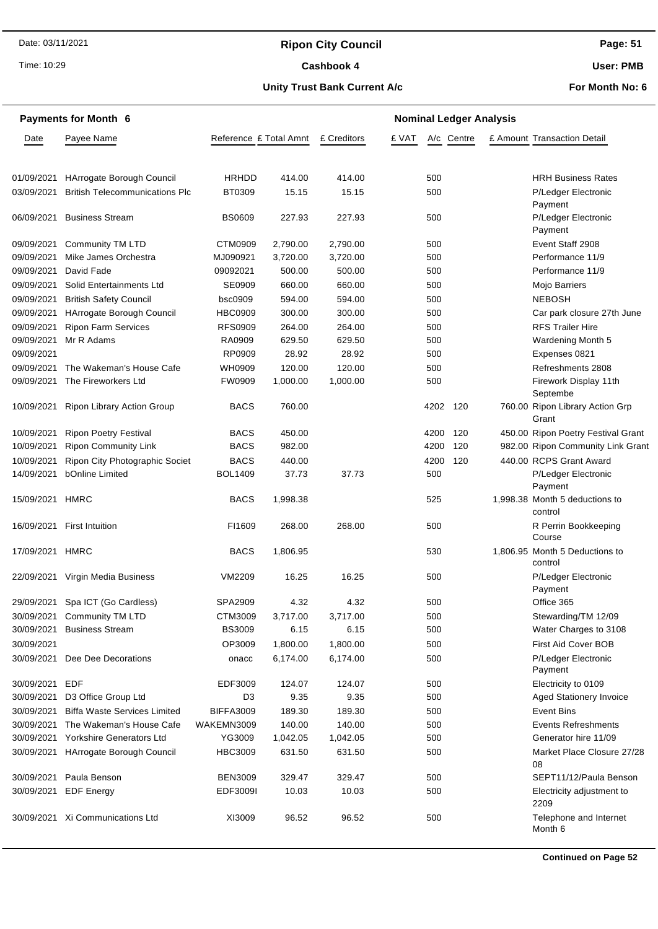# **Ripon City Council**

Time: 10:29

#### Cashbook 4

**Page: 51**

**User: PMB**

### **Unity Trust Bank Current A/c**

**For Month No: 6**

|                 | <b>Payments for Month 6</b>           |                        |          |             | <b>Nominal Ledger Analysis</b> |          |            |  |                                           |  |  |
|-----------------|---------------------------------------|------------------------|----------|-------------|--------------------------------|----------|------------|--|-------------------------------------------|--|--|
| Date            | Payee Name                            | Reference £ Total Amnt |          | £ Creditors | £ VAT                          |          | A/c Centre |  | £ Amount Transaction Detail               |  |  |
|                 |                                       |                        |          |             |                                |          |            |  |                                           |  |  |
| 01/09/2021      | HArrogate Borough Council             | HRHDD                  | 414.00   | 414.00      |                                | 500      |            |  | <b>HRH Business Rates</b>                 |  |  |
| 03/09/2021      | <b>British Telecommunications Plc</b> | BT0309                 | 15.15    | 15.15       |                                | 500      |            |  | P/Ledger Electronic<br>Payment            |  |  |
| 06/09/2021      | <b>Business Stream</b>                | <b>BS0609</b>          | 227.93   | 227.93      |                                | 500      |            |  | P/Ledger Electronic<br>Payment            |  |  |
| 09/09/2021      | Community TM LTD                      | CTM0909                | 2,790.00 | 2,790.00    |                                | 500      |            |  | Event Staff 2908                          |  |  |
| 09/09/2021      | Mike James Orchestra                  | MJ090921               | 3,720.00 | 3,720.00    |                                | 500      |            |  | Performance 11/9                          |  |  |
| 09/09/2021      | David Fade                            | 09092021               | 500.00   | 500.00      |                                | 500      |            |  | Performance 11/9                          |  |  |
| 09/09/2021      | Solid Entertainments Ltd              | SE0909                 | 660.00   | 660.00      |                                | 500      |            |  | Mojo Barriers                             |  |  |
| 09/09/2021      | <b>British Safety Council</b>         | bsc0909                | 594.00   | 594.00      |                                | 500      |            |  | <b>NEBOSH</b>                             |  |  |
| 09/09/2021      | HArrogate Borough Council             | <b>HBC0909</b>         | 300.00   | 300.00      |                                | 500      |            |  | Car park closure 27th June                |  |  |
| 09/09/2021      | <b>Ripon Farm Services</b>            | <b>RFS0909</b>         | 264.00   | 264.00      |                                | 500      |            |  | <b>RFS Trailer Hire</b>                   |  |  |
| 09/09/2021      | Mr R Adams                            | RA0909                 | 629.50   | 629.50      |                                | 500      |            |  | Wardening Month 5                         |  |  |
| 09/09/2021      |                                       | RP0909                 | 28.92    | 28.92       |                                | 500      |            |  | Expenses 0821                             |  |  |
| 09/09/2021      | The Wakeman's House Cafe              | WH0909                 | 120.00   | 120.00      |                                | 500      |            |  | Refreshments 2808                         |  |  |
| 09/09/2021      | The Fireworkers Ltd                   | FW0909                 | 1,000.00 | 1,000.00    |                                | 500      |            |  | Firework Display 11th<br>Septembe         |  |  |
| 10/09/2021      | Ripon Library Action Group            | <b>BACS</b>            | 760.00   |             |                                | 4202 120 |            |  | 760.00 Ripon Library Action Grp<br>Grant  |  |  |
| 10/09/2021      | <b>Ripon Poetry Festival</b>          | <b>BACS</b>            | 450.00   |             |                                | 4200 120 |            |  | 450.00 Ripon Poetry Festival Grant        |  |  |
| 10/09/2021      | <b>Ripon Community Link</b>           | <b>BACS</b>            | 982.00   |             |                                | 4200     | 120        |  | 982.00 Ripon Community Link Grant         |  |  |
| 10/09/2021      | Ripon City Photographic Societ        | <b>BACS</b>            | 440.00   |             |                                | 4200     | 120        |  | 440.00 RCPS Grant Award                   |  |  |
| 14/09/2021      | <b>bOnline Limited</b>                | <b>BOL1409</b>         | 37.73    | 37.73       |                                | 500      |            |  | P/Ledger Electronic<br>Payment            |  |  |
| 15/09/2021 HMRC |                                       | <b>BACS</b>            | 1,998.38 |             |                                | 525      |            |  | 1,998.38 Month 5 deductions to<br>control |  |  |
|                 | 16/09/2021 First Intuition            | FI1609                 | 268.00   | 268.00      |                                | 500      |            |  | R Perrin Bookkeeping<br>Course            |  |  |
| 17/09/2021      | HMRC                                  | <b>BACS</b>            | 1,806.95 |             |                                | 530      |            |  | 1,806.95 Month 5 Deductions to<br>control |  |  |
|                 | 22/09/2021 Virgin Media Business      | VM2209                 | 16.25    | 16.25       |                                | 500      |            |  | P/Ledger Electronic<br>Payment            |  |  |
|                 | 29/09/2021 Spa ICT (Go Cardless)      | SPA2909                | 4.32     | 4.32        |                                | 500      |            |  | Office 365                                |  |  |
|                 | 30/09/2021 Community TM LTD           | CTM3009                | 3,717.00 | 3,717.00    |                                | 500      |            |  | Stewarding/TM 12/09                       |  |  |
| 30/09/2021      | <b>Business Stream</b>                | <b>BS3009</b>          | 6.15     | 6.15        |                                | 500      |            |  | Water Charges to 3108                     |  |  |
| 30/09/2021      |                                       | OP3009                 | 1,800.00 | 1,800.00    |                                | 500      |            |  | First Aid Cover BOB                       |  |  |
| 30/09/2021      | Dee Dee Decorations                   | onacc                  | 6,174.00 | 6,174.00    |                                | 500      |            |  | P/Ledger Electronic<br>Payment            |  |  |
| 30/09/2021      | EDF                                   | EDF3009                | 124.07   | 124.07      |                                | 500      |            |  | Electricity to 0109                       |  |  |
| 30/09/2021      | D3 Office Group Ltd                   | D3                     | 9.35     | 9.35        |                                | 500      |            |  | Aged Stationery Invoice                   |  |  |
| 30/09/2021      | <b>Biffa Waste Services Limited</b>   | <b>BIFFA3009</b>       | 189.30   | 189.30      |                                | 500      |            |  | Event Bins                                |  |  |
| 30/09/2021      | The Wakeman's House Cafe              | WAKEMN3009             | 140.00   | 140.00      |                                | 500      |            |  | <b>Events Refreshments</b>                |  |  |
| 30/09/2021      | Yorkshire Generators Ltd              | YG3009                 | 1,042.05 | 1,042.05    |                                | 500      |            |  | Generator hire 11/09                      |  |  |
| 30/09/2021      | HArrogate Borough Council             | <b>HBC3009</b>         | 631.50   | 631.50      |                                | 500      |            |  | Market Place Closure 27/28<br>08          |  |  |
| 30/09/2021      | Paula Benson                          | <b>BEN3009</b>         | 329.47   | 329.47      |                                | 500      |            |  | SEPT11/12/Paula Benson                    |  |  |
|                 | 30/09/2021 EDF Energy                 | EDF3009I               | 10.03    | 10.03       |                                | 500      |            |  | Electricity adjustment to<br>2209         |  |  |
|                 | 30/09/2021 Xi Communications Ltd      | XI3009                 | 96.52    | 96.52       |                                | 500      |            |  | Telephone and Internet<br>Month 6         |  |  |
|                 |                                       |                        |          |             |                                |          |            |  |                                           |  |  |